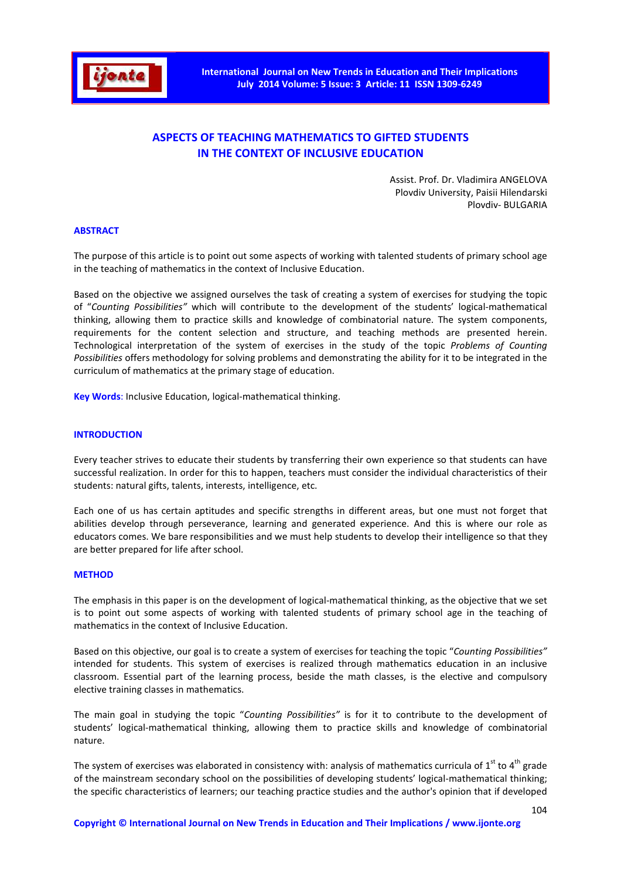

# **ASPECTS OF TEACHING MATHEMATICS TO GIFTED STUDENTS IN THE CONTEXT OF INCLUSIVE EDUCATION**

Assist. Prof. Dr. Vladimira ANGELOVA Plovdiv University, Paisii Hilendarski Plovdiv- BULGARIA

#### **ABSTRACT**

The purpose of this article is to point out some aspects of working with talented students of primary school age in the teaching of mathematics in the context of Inclusive Education.

Based on the objective we assigned ourselves the task of creating a system of exercises for studying the topic of "*Counting Possibilities"* which will contribute to the development of the students' logical-mathematical thinking, allowing them to practice skills and knowledge of combinatorial nature. The system components, requirements for the content selection and structure, and teaching methods are presented herein. Technological interpretation of the system of exercises in the study of the topic *Problems of Counting Possibilities* offers methodology for solving problems and demonstrating the ability for it to be integrated in the curriculum of mathematics at the primary stage of education.

**Key Words**: Inclusive Education, logical-mathematical thinking.

#### **INTRODUCTION**

Every teacher strives to educate their students by transferring their own experience so that students can have successful realization. In order for this to happen, teachers must consider the individual characteristics of their students: natural gifts, talents, interests, intelligence, etc.

Each one of us has certain aptitudes and specific strengths in different areas, but one must not forget that abilities develop through perseverance, learning and generated experience. And this is where our role as educators comes. We bare responsibilities and we must help students to develop their intelligence so that they are better prepared for life after school.

#### **METHOD**

The emphasis in this paper is on the development of logical-mathematical thinking, as the objective that we set is to point out some aspects of working with talented students of primary school age in the teaching of mathematics in the context of Inclusive Education.

Based on this objective, our goal is to create a system of exercises for teaching the topic "*Counting Possibilities"* intended for students. This system of exercises is realized through mathematics education in an inclusive classroom. Essential part of the learning process, beside the math classes, is the elective and compulsory elective training classes in mathematics.

The main goal in studying the topic "*Counting Possibilities"* is for it to contribute to the development of students' logical-mathematical thinking, allowing them to practice skills and knowledge of combinatorial nature.

The system of exercises was elaborated in consistency with: analysis of mathematics curricula of  $1^{st}$  to  $4^{th}$  grade of the mainstream secondary school on the possibilities of developing students' logical-mathematical thinking; the specific characteristics of learners; our teaching practice studies and the author's opinion that if developed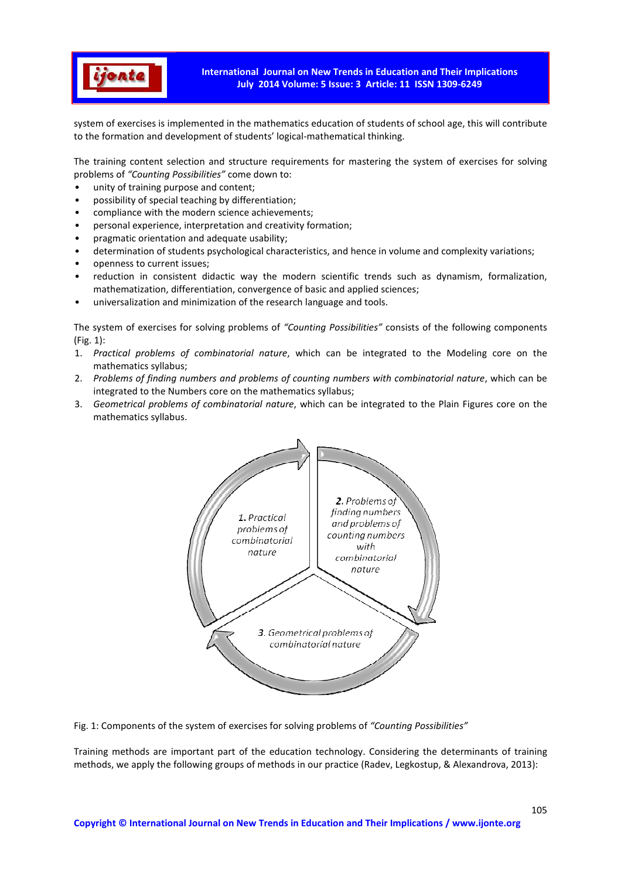

system of exercises is implemented in the mathematics education of students of school age, this will contribute to the formation and development of students' logical-mathematical thinking.

The training content selection and structure requirements for mastering the system of exercises for solving problems of *"Counting Possibilities"* come down to:

- unity of training purpose and content;
- possibility of special teaching by differentiation;
- compliance with the modern science achievements;
- personal experience, interpretation and creativity formation;
- pragmatic orientation and adequate usability;
- determination of students psychological characteristics, and hence in volume and complexity variations;
- openness to current issues;
- reduction in consistent didactic way the modern scientific trends such as dynamism, formalization, mathematization, differentiation, convergence of basic and applied sciences;
- universalization and minimization of the research language and tools.

The system of exercises for solving problems of *"Counting Possibilities"* consists of the following components (Fig. 1):

- 1. *Practical problems of combinatorial nature*, which can be integrated to the Modeling core on the mathematics syllabus;
- 2. *Problems of finding numbers and problems of counting numbers with combinatorial nature*, which can be integrated to the Numbers core on the mathematics syllabus;
- 3. *Geometrical problems of combinatorial nature*, which can be integrated to the Plain Figures core on the mathematics syllabus.



Fig. 1: Components of the system of exercises for solving problems of *"Counting Possibilities"*

Training methods are important part of the education technology. Considering the determinants of training methods, we apply the following groups of methods in our practice (Radev, Legkostup, & Alexandrova, 2013):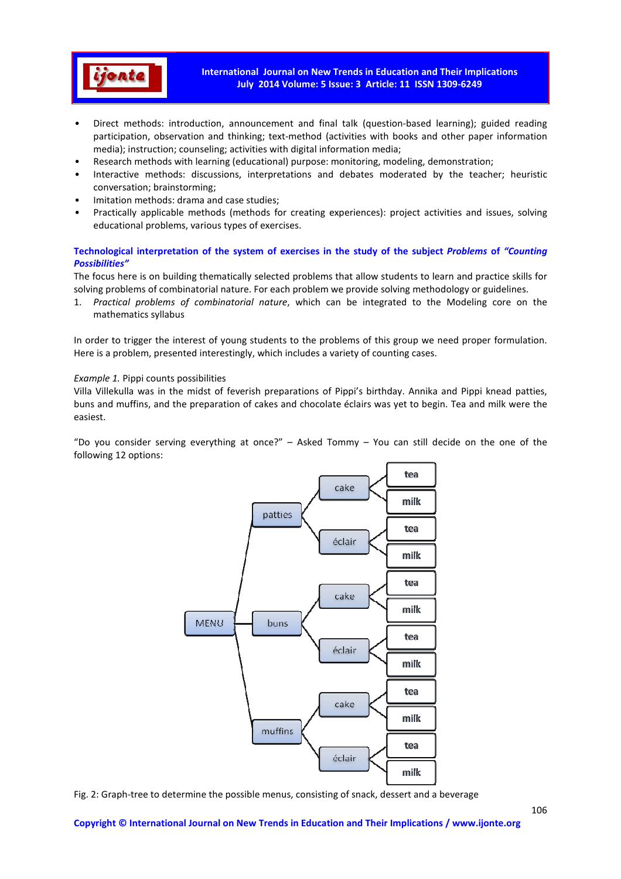

- Direct methods: introduction, announcement and final talk (question-based learning); guided reading participation, observation and thinking; text-method (activities with books and other paper information media); instruction; counseling; activities with digital information media;
- Research methods with learning (educational) purpose: monitoring, modeling, demonstration;
- Interactive methods: discussions, interpretations and debates moderated by the teacher; heuristic conversation; brainstorming;
- Imitation methods: drama and case studies;
- Practically applicable methods (methods for creating experiences): project activities and issues, solving educational problems, various types of exercises.

#### **Technological interpretation of the system of exercises in the study of the subject** *Problems* **of** *"Counting Possibilities"*

The focus here is on building thematically selected problems that allow students to learn and practice skills for solving problems of combinatorial nature. For each problem we provide solving methodology or guidelines.

1. *Practical problems of combinatorial nature*, which can be integrated to the Modeling core on the mathematics syllabus

In order to trigger the interest of young students to the problems of this group we need proper formulation. Here is a problem, presented interestingly, which includes a variety of counting cases.

#### *Example 1.* Pippi counts possibilities

Villa Villekulla was in the midst of feverish preparations of Pippi's birthday. Annika and Pippi knead patties, buns and muffins, and the preparation of cakes and chocolate éclairs was yet to begin. Tea and milk were the easiest.

"Do you consider serving everything at once?" – Asked Tommy – You can still decide on the one of the following 12 options:



Fig. 2: Graph-tree to determine the possible menus, consisting of snack, dessert and a beverage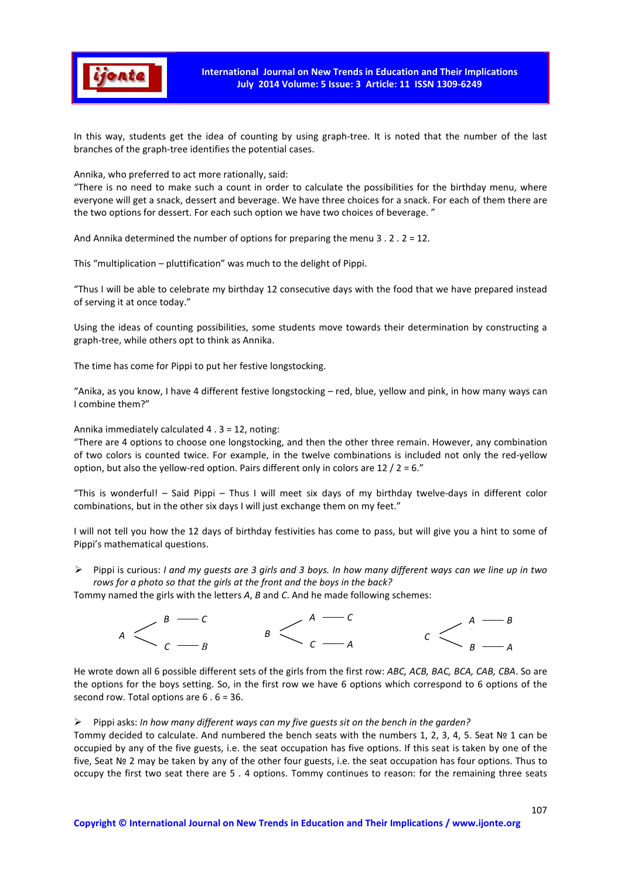

In this way, students get the idea of counting by using graph-tree. It is noted that the number of the last branches of the graph-tree identifies the potential cases.

Annika, who preferred to act more rationally, said:

"There is no need to make such a count in order to calculate the possibilities for the birthday menu, where everyone will get a snack, dessert and beverage. We have three choices for a snack. For each of them there are the two options for dessert. For each such option we have two choices of beverage. "

And Annika determined the number of options for preparing the menu 3 . 2 . 2 = 12.

This "multiplication – pluttification" was much to the delight of Pippi.

"Thus I will be able to celebrate my birthday 12 consecutive days with the food that we have prepared instead of serving it at once today."

Using the ideas of counting possibilities, some students move towards their determination by constructing a graph-tree, while others opt to think as Annika.

The time has come for Pippi to put her festive longstocking.

"Anika, as you know, I have 4 different festive longstocking – red, blue, yellow and pink, in how many ways can I combine them?"

Annika immediately calculated 4 . 3 = 12, noting:

"There are 4 options to choose one longstocking, and then the other three remain. However, any combination of two colors is counted twice. For example, in the twelve combinations is included not only the red-yellow option, but also the yellow-red option. Pairs different only in colors are  $12 / 2 = 6$ ."

"This is wonderful! – Said Pippi – Thus I will meet six days of my birthday twelve-days in different color combinations, but in the other six days I will just exchange them on my feet."

I will not tell you how the 12 days of birthday festivities has come to pass, but will give you a hint to some of Pippi's mathematical questions.

 Pippi is curious: *I and my guests are 3 girls and 3 boys. In how many different ways can we line up in two rows for a photo so that the girls at the front and the boys in the back?* 

Tommy named the girls with the letters *A*, *B* and *C*. And he made following schemes:



He wrote down all 6 possible different sets of the girls from the first row: *ABC, ACB, BAC, BCA, CAB, CBA*. So are the options for the boys setting. So, in the first row we have 6 options which correspond to 6 options of the second row. Total options are 6 . 6 = 36.

#### Pippi asks: *In how many different ways can my five guests sit on the bench in the garden?*

Tommy decided to calculate. And numbered the bench seats with the numbers 1, 2, 3, 4, 5. Seat № 1 can be occupied by any of the five guests, i.e. the seat occupation has five options. If this seat is taken by one of the five, Seat № 2 may be taken by any of the other four guests, i.e. the seat occupation has four options. Thus to occupy the first two seat there are 5 . 4 options. Tommy continues to reason: for the remaining three seats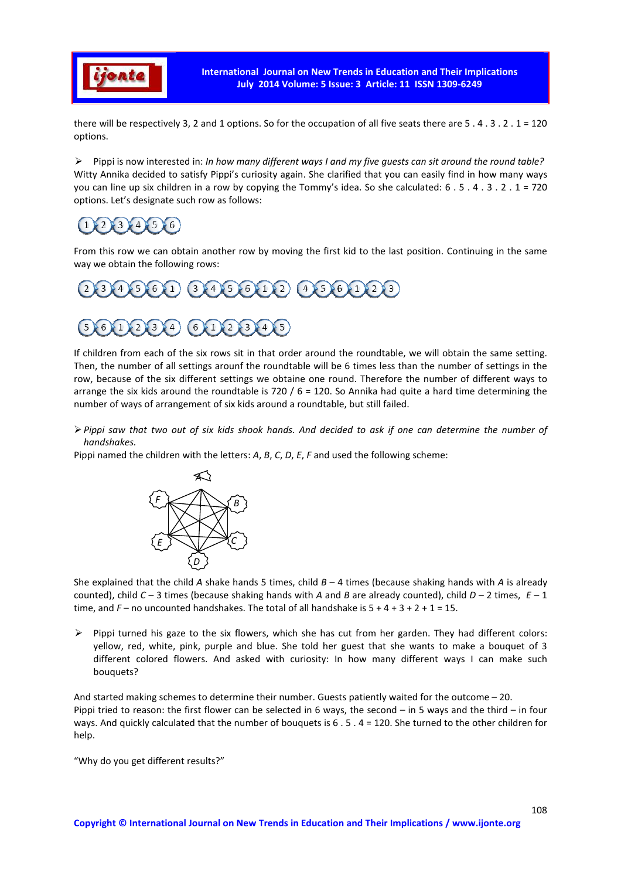

there will be respectively 3, 2 and 1 options. So for the occupation of all five seats there are  $5 \cdot 4 \cdot 3 \cdot 2 \cdot 1 = 120$ options.

 Pippi is now interested in: *In how many different ways I and my five guests can sit around the round table?*  Witty Annika decided to satisfy Pippi's curiosity again. She clarified that you can easily find in how many ways you can line up six children in a row by copying the Tommy's idea. So she calculated: 6 . 5 . 4 . 3 . 2 . 1 = 720 options. Let's designate such row as follows:

#### $\overline{3}$  $\overline{4}$  $5^{\circ}$  $56$

From this row we can obtain another row by moving the first kid to the last position. Continuing in the same way we obtain the following rows:



If children from each of the six rows sit in that order around the roundtable, we will obtain the same setting. Then, the number of all settings arounf the roundtable will be 6 times less than the number of settings in the row, because of the six different settings we obtaine one round. Therefore the number of different ways to arrange the six kids around the roundtable is 720 /  $6 = 120$ . So Annika had quite a hard time determining the number of ways of arrangement of six kids around a roundtable, but still failed.

*Pippi saw that two out of six kids shook hands. And decided to ask if one can determine the number of handshakes.* 

Pippi named the children with the letters: *A*, *B*, *C*, *D*, *E*, *F* and used the following scheme:



She explained that the child *A* shake hands 5 times, child *B* – 4 times (because shaking hands with *A* is already counted), child *C* – 3 times (because shaking hands with *A* and *B* are already counted), child *D* – 2 times, *E* – 1 time, and  $F -$  no uncounted handshakes. The total of all handshake is  $5 + 4 + 3 + 2 + 1 = 15$ .

 $\triangleright$  Pippi turned his gaze to the six flowers, which she has cut from her garden. They had different colors: yellow, red, white, pink, purple and blue. She told her guest that she wants to make a bouquet of 3 different colored flowers. And asked with curiosity: In how many different ways I can make such bouquets?

And started making schemes to determine their number. Guests patiently waited for the outcome – 20. Pippi tried to reason: the first flower can be selected in 6 ways, the second – in 5 ways and the third – in four ways. And quickly calculated that the number of bouquets is 6 . 5 . 4 = 120. She turned to the other children for help.

"Why do you get different results?"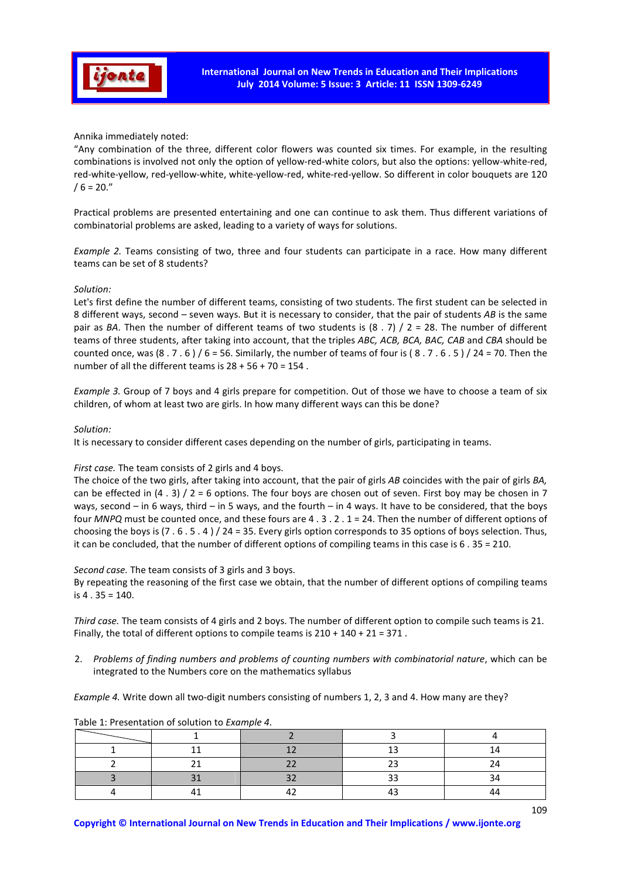

Annika immediately noted:

"Any combination of the three, different color flowers was counted six times. For example, in the resulting combinations is involved not only the option of yellow-red-white colors, but also the options: yellow-white-red, red-white-yellow, red-yellow-white, white-yellow-red, white-red-yellow. So different in color bouquets are 120  $/ 6 = 20."$ 

Practical problems are presented entertaining and one can continue to ask them. Thus different variations of combinatorial problems are asked, leading to a variety of ways for solutions.

*Example 2.* Teams consisting of two, three and four students can participate in a race. How many different teams can be set of 8 students?

#### *Solution:*

Let's first define the number of different teams, consisting of two students. The first student can be selected in 8 different ways, second – seven ways. But it is necessary to consider, that the pair of students *AB* is the same pair as *BA*. Then the number of different teams of two students is (8 . 7) / 2 = 28. The number of different teams of three students, after taking into account, that the triples *ABC, ACB, BCA, BAC, CAB* and *CBA* should be counted once, was  $(8 \cdot 7 \cdot 6) / 6 = 56$ . Similarly, the number of teams of four is  $(8 \cdot 7 \cdot 6 \cdot 5) / 24 = 70$ . Then the number of all the different teams is  $28 + 56 + 70 = 154$ .

*Example 3.* Group of 7 boys and 4 girls prepare for competition. Out of those we have to choose a team of six children, of whom at least two are girls. In how many different ways can this be done?

#### *Solution:*

It is necessary to consider different cases depending on the number of girls, participating in teams.

### *First case.* The team consists of 2 girls and 4 boys.

The choice of the two girls, after taking into account, that the pair of girls *AB* coincides with the pair of girls *BA,* can be effected in  $(4 \cdot 3) / 2 = 6$  options. The four boys are chosen out of seven. First boy may be chosen in 7 ways, second – in 6 ways, third – in 5 ways, and the fourth – in 4 ways. It have to be considered, that the boys four *MNPQ* must be counted once, and these fours are 4 . 3 . 2 . 1 = 24. Then the number of different options of choosing the boys is (7 . 6 . 5 . 4 ) / 24 = 35. Every girls option corresponds to 35 options of boys selection. Thus, it can be concluded, that the number of different options of compiling teams in this case is 6 . 35 = 210.

*Second case.* The team consists of 3 girls and 3 boys.

By repeating the reasoning of the first case we obtain, that the number of different options of compiling teams is 4 . 35 = 140.

*Third case.* The team consists of 4 girls and 2 boys. The number of different option to compile such teams is 21. Finally, the total of different options to compile teams is  $210 + 140 + 21 = 371$ .

2. *Problems of finding numbers and problems of counting numbers with combinatorial nature*, which can be integrated to the Numbers core on the mathematics syllabus

*Example 4.* Write down all two-digit numbers consisting of numbers 1, 2, 3 and 4. How many are they?

| $\sim$ | ~~ | ~~ |  |
|--------|----|----|--|
|        |    |    |  |

Table 1: Presentation of solution to *Example 4*.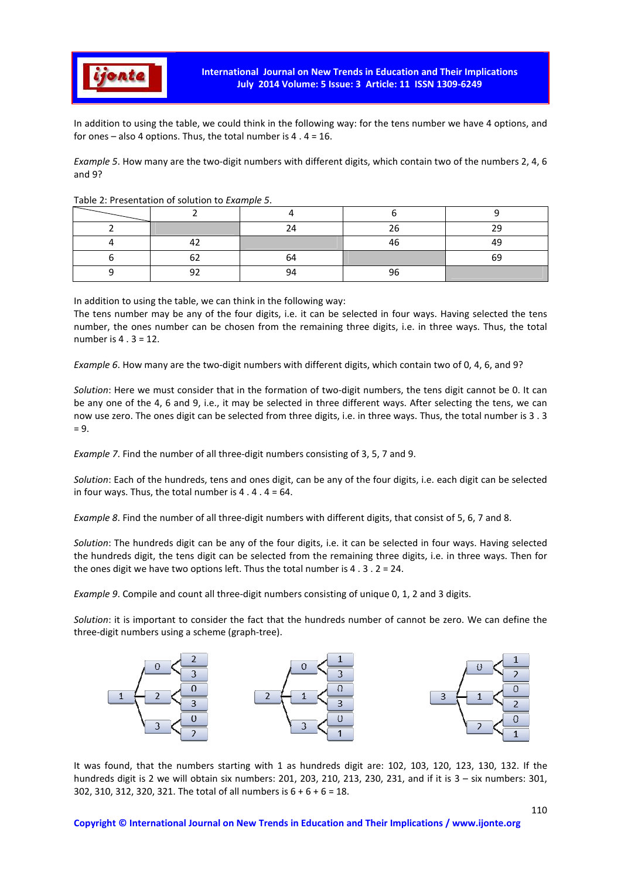

In addition to using the table, we could think in the following way: for the tens number we have 4 options, and for ones – also 4 options. Thus, the total number is  $4 \cdot 4 = 16$ .

*Example 5*. How many are the two-digit numbers with different digits, which contain two of the numbers 2, 4, 6 and 9?

|    | 24 | 26 | 29 |
|----|----|----|----|
| 1つ |    | 46 | 49 |
| 62 | 64 |    | 69 |
| ۵C | 94 | 96 |    |

#### Table 2: Presentation of solution to *Example 5*.

In addition to using the table, we can think in the following way:

The tens number may be any of the four digits, i.e. it can be selected in four ways. Having selected the tens number, the ones number can be chosen from the remaining three digits, i.e. in three ways. Thus, the total number is 4 . 3 = 12.

*Example 6*. How many are the two-digit numbers with different digits, which contain two of 0, 4, 6, and 9?

*Solution*: Here we must consider that in the formation of two-digit numbers, the tens digit cannot be 0. It can be any one of the 4, 6 and 9, i.e., it may be selected in three different ways. After selecting the tens, we can now use zero. The ones digit can be selected from three digits, i.e. in three ways. Thus, the total number is 3 . 3  $= 9.$ 

*Example 7*. Find the number of all three-digit numbers consisting of 3, 5, 7 and 9.

*Solution*: Each of the hundreds, tens and ones digit, can be any of the four digits, i.e. each digit can be selected in four ways. Thus, the total number is  $4 \cdot 4 \cdot 4 = 64$ .

*Example 8*. Find the number of all three-digit numbers with different digits, that consist of 5, 6, 7 and 8.

*Solution*: The hundreds digit can be any of the four digits, i.e. it can be selected in four ways. Having selected the hundreds digit, the tens digit can be selected from the remaining three digits, i.e. in three ways. Then for the ones digit we have two options left. Thus the total number is  $4 \cdot 3 \cdot 2 = 24$ .

*Example 9*. Compile and count all three-digit numbers consisting of unique 0, 1, 2 and 3 digits.

*Solution*: it is important to consider the fact that the hundreds number of cannot be zero. We can define the three-digit numbers using a scheme (graph-tree).



It was found, that the numbers starting with 1 as hundreds digit are: 102, 103, 120, 123, 130, 132. If the hundreds digit is 2 we will obtain six numbers: 201, 203, 210, 213, 230, 231, and if it is 3 – six numbers: 301, 302, 310, 312, 320, 321. The total of all numbers is 6 + 6 + 6 = 18.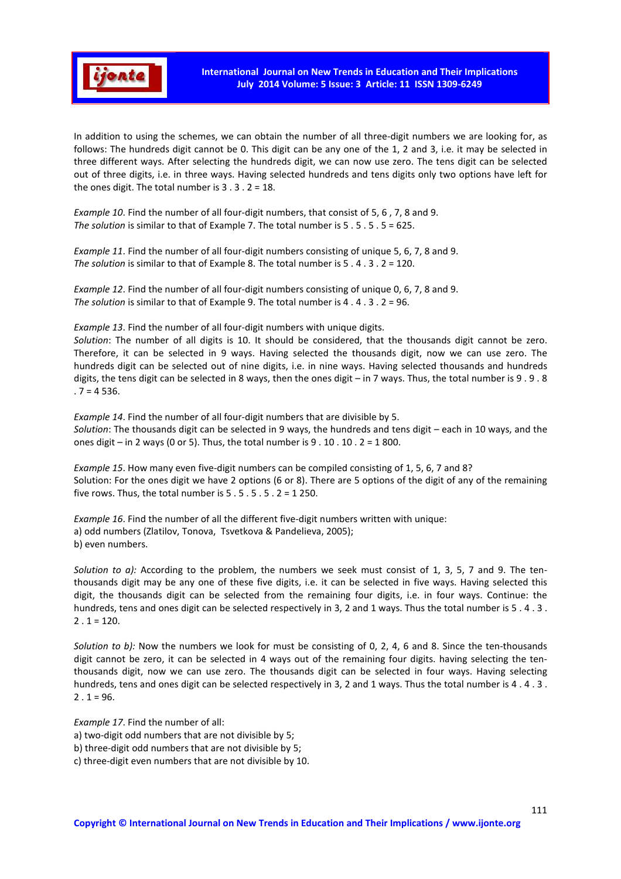

In addition to using the schemes, we can obtain the number of all three-digit numbers we are looking for, as follows: The hundreds digit cannot be 0. This digit can be any one of the 1, 2 and 3, i.e. it may be selected in three different ways. After selecting the hundreds digit, we can now use zero. The tens digit can be selected out of three digits, i.e. in three ways. Having selected hundreds and tens digits only two options have left for the ones digit. The total number is 3 . 3 . 2 = 18.

*Example 10*. Find the number of all four-digit numbers, that consist of 5, 6 , 7, 8 and 9. *The solution* is similar to that of Example 7. The total number is 5 . 5 . 5 . 5 = 625.

*Example 11*. Find the number of all four-digit numbers consisting of unique 5, 6, 7, 8 and 9. *The solution* is similar to that of Example 8. The total number is 5 . 4 . 3 . 2 = 120.

*Example 12*. Find the number of all four-digit numbers consisting of unique 0, 6, 7, 8 and 9. *The solution* is similar to that of Example 9. The total number is 4 . 4 . 3 . 2 = 96.

*Example 13*. Find the number of all four-digit numbers with unique digits.

*Solution*: The number of all digits is 10. It should be considered, that the thousands digit cannot be zero. Therefore, it can be selected in 9 ways. Having selected the thousands digit, now we can use zero. The hundreds digit can be selected out of nine digits, i.e. in nine ways. Having selected thousands and hundreds digits, the tens digit can be selected in 8 ways, then the ones digit – in 7 ways. Thus, the total number is 9 . 9 . 8  $.7 = 4536.$ 

*Example 14*. Find the number of all four-digit numbers that are divisible by 5. *Solution*: The thousands digit can be selected in 9 ways, the hundreds and tens digit – each in 10 ways, and the ones digit – in 2 ways (0 or 5). Thus, the total number is  $9 \cdot 10 \cdot 10 \cdot 2 = 1800$ .

*Example 15*. How many even five-digit numbers can be compiled consisting of 1, 5, 6, 7 and 8? Solution: For the ones digit we have 2 options (6 or 8). There are 5 options of the digit of any of the remaining five rows. Thus, the total number is 5 . 5 . 5 . 5 . 2 = 1 250.

*Example 16*. Find the number of all the different five-digit numbers written with unique: a) odd numbers (Zlatilov, Tonova, Tsvetkova & Pandelieva, 2005); b) even numbers.

*Solution to a):* According to the problem, the numbers we seek must consist of 1, 3, 5, 7 and 9. The tenthousands digit may be any one of these five digits, i.e. it can be selected in five ways. Having selected this digit, the thousands digit can be selected from the remaining four digits, i.e. in four ways. Continue: the hundreds, tens and ones digit can be selected respectively in 3, 2 and 1 ways. Thus the total number is 5 . 4 . 3 .  $2 \cdot 1 = 120.$ 

*Solution to b):* Now the numbers we look for must be consisting of 0, 2, 4, 6 and 8. Since the ten-thousands digit cannot be zero, it can be selected in 4 ways out of the remaining four digits. having selecting the tenthousands digit, now we can use zero. The thousands digit can be selected in four ways. Having selecting hundreds, tens and ones digit can be selected respectively in 3, 2 and 1 ways. Thus the total number is 4 . 4 . 3 .  $2 \cdot 1 = 96.$ 

*Example 17*. Find the number of all:

a) two-digit odd numbers that are not divisible by 5;

b) three-digit odd numbers that are not divisible by 5;

c) three-digit even numbers that are not divisible by 10.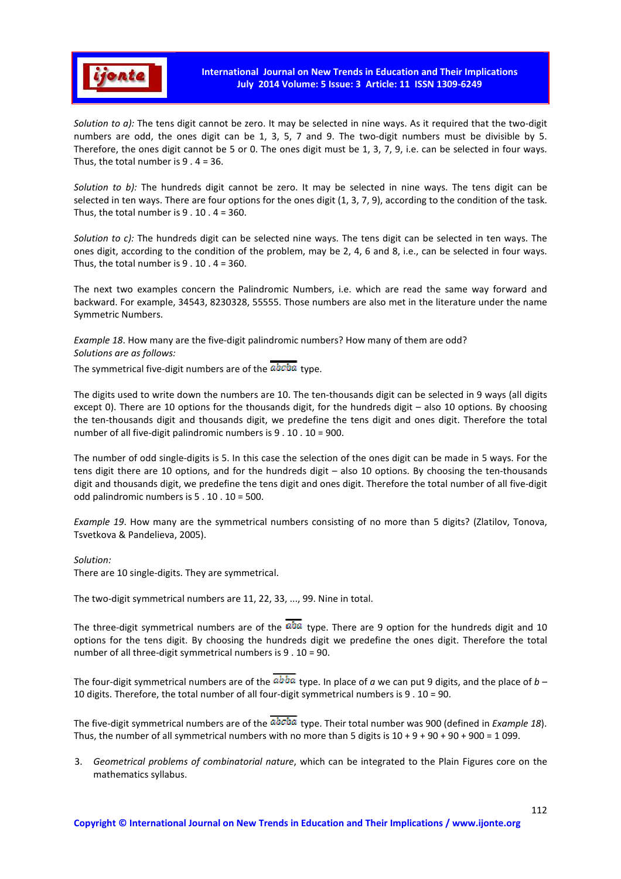

*Solution to a):* The tens digit cannot be zero. It may be selected in nine ways. As it required that the two-digit numbers are odd, the ones digit can be 1, 3, 5, 7 and 9. The two-digit numbers must be divisible by 5. Therefore, the ones digit cannot be 5 or 0. The ones digit must be 1, 3, 7, 9, i.e. can be selected in four ways. Thus, the total number is  $9 \cdot 4 = 36$ .

*Solution to b):* The hundreds digit cannot be zero. It may be selected in nine ways. The tens digit can be selected in ten ways. There are four options for the ones digit (1, 3, 7, 9), according to the condition of the task. Thus, the total number is  $9 \cdot 10 \cdot 4 = 360$ .

*Solution to c):* The hundreds digit can be selected nine ways. The tens digit can be selected in ten ways. The ones digit, according to the condition of the problem, may be 2, 4, 6 and 8, i.e., can be selected in four ways. Thus, the total number is  $9 \cdot 10 \cdot 4 = 360$ .

The next two examples concern the Palindromic Numbers, i.e. which are read the same way forward and backward. For example, 34543, 8230328, 55555. Those numbers are also met in the literature under the name Symmetric Numbers.

*Example 18*. How many are the five-digit palindromic numbers? How many of them are odd? *Solutions are as follows:* 

The symmetrical five-digit numbers are of the  $\overline{abcba}$  type.

The digits used to write down the numbers are 10. The ten-thousands digit can be selected in 9 ways (all digits except 0). There are 10 options for the thousands digit, for the hundreds digit – also 10 options. By choosing the ten-thousands digit and thousands digit, we predefine the tens digit and ones digit. Therefore the total number of all five-digit palindromic numbers is 9 . 10 . 10 = 900.

The number of odd single-digits is 5. In this case the selection of the ones digit can be made in 5 ways. For the tens digit there are 10 options, and for the hundreds digit – also 10 options. By choosing the ten-thousands digit and thousands digit, we predefine the tens digit and ones digit. Therefore the total number of all five-digit odd palindromic numbers is 5 . 10 . 10 = 500.

*Example 19*. How many are the symmetrical numbers consisting of no more than 5 digits? (Zlatilov, Tonova, Tsvetkova & Pandelieva, 2005).

#### *Solution:*

There are 10 single-digits. They are symmetrical.

The two-digit symmetrical numbers are 11, 22, 33, ..., 99. Nine in total.

The three-digit symmetrical numbers are of the  $R^{ab}$  type. There are 9 option for the hundreds digit and 10 options for the tens digit. By choosing the hundreds digit we predefine the ones digit. Therefore the total number of all three-digit symmetrical numbers is 9 . 10 = 90.

The four-digit symmetrical numbers are of the  $abba$  type. In place of *a* we can put 9 digits, and the place of *b* – 10 digits. Therefore, the total number of all four-digit symmetrical numbers is 9 . 10 = 90.

The five-digit symmetrical numbers are of the  $\overline{abcba}$  type. Their total number was 900 (defined in *Example 18*). Thus, the number of all symmetrical numbers with no more than 5 digits is  $10 + 9 + 90 + 90 + 900 = 1099$ .

3. *Geometrical problems of combinatorial nature*, which can be integrated to the Plain Figures core on the mathematics syllabus.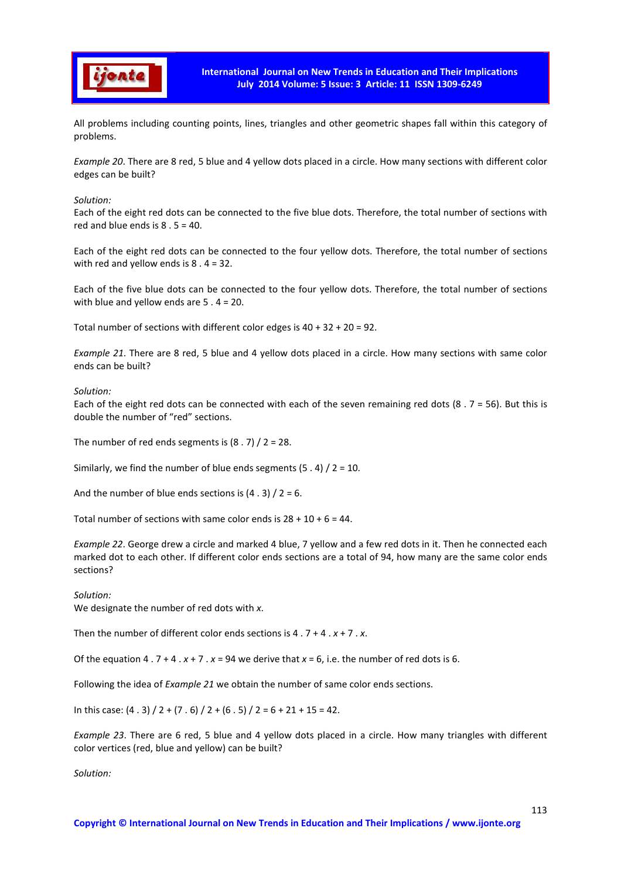

All problems including counting points, lines, triangles and other geometric shapes fall within this category of problems.

*Example 20*. There are 8 red, 5 blue and 4 yellow dots placed in a circle. How many sections with different color edges can be built?

*Solution:* 

Each of the eight red dots can be connected to the five blue dots. Therefore, the total number of sections with red and blue ends is  $8.5 = 40$ .

Each of the eight red dots can be connected to the four yellow dots. Therefore, the total number of sections with red and yellow ends is  $8 \cdot 4 = 32$ .

Each of the five blue dots can be connected to the four yellow dots. Therefore, the total number of sections with blue and yellow ends are 5 . 4 = 20.

Total number of sections with different color edges is 40 + 32 + 20 = 92.

*Example 21*. There are 8 red, 5 blue and 4 yellow dots placed in a circle. How many sections with same color ends can be built?

#### *Solution:*

Each of the eight red dots can be connected with each of the seven remaining red dots (8 .  $7 = 56$ ). But this is double the number of "red" sections.

The number of red ends segments is  $(8.7) / 2 = 28$ .

Similarly, we find the number of blue ends segments  $(5 \cdot 4) / 2 = 10$ .

And the number of blue ends sections is  $(4.3) / 2 = 6$ .

Total number of sections with same color ends is  $28 + 10 + 6 = 44$ .

*Example 22*. George drew a circle and marked 4 blue, 7 yellow and a few red dots in it. Then he connected each marked dot to each other. If different color ends sections are a total of 94, how many are the same color ends sections?

*Solution:*  We designate the number of red dots with *x*.

Then the number of different color ends sections is 4 . 7 + 4 . *x* + 7 . *x*.

Of the equation 4 .  $7 + 4$   $. x + 7$   $. x = 94$  we derive that  $x = 6$ , i.e. the number of red dots is 6.

Following the idea of *Example 21* we obtain the number of same color ends sections.

In this case:  $(4.3) / 2 + (7.6) / 2 + (6.5) / 2 = 6 + 21 + 15 = 42$ .

*Example 23*. There are 6 red, 5 blue and 4 yellow dots placed in a circle. How many triangles with different color vertices (red, blue and yellow) can be built?

*Solution:*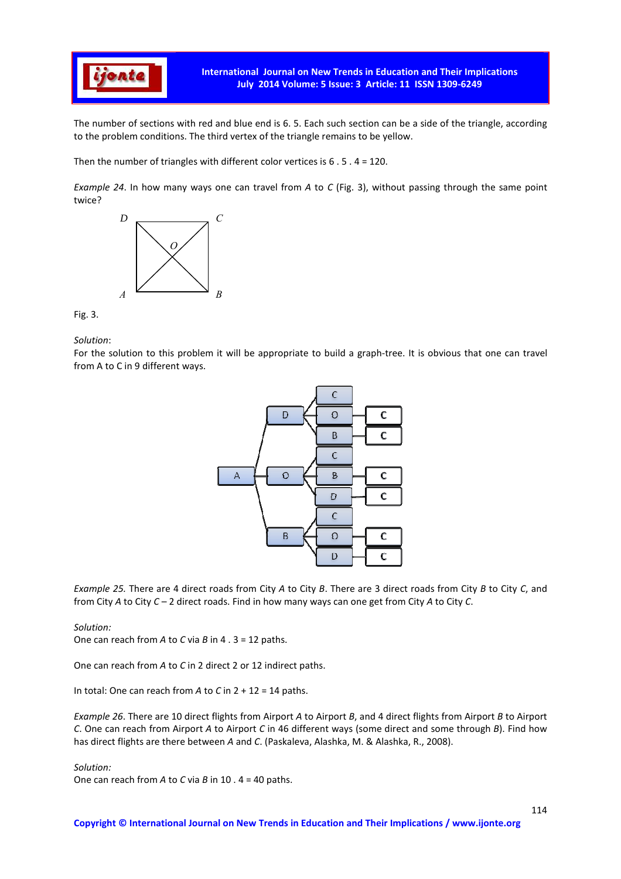

The number of sections with red and blue end is 6. 5. Each such section can be a side of the triangle, according to the problem conditions. The third vertex of the triangle remains to be yellow.

Then the number of triangles with different color vertices is 6 . 5 . 4 = 120.

*Example 24*. In how many ways one can travel from *A* to *C* (Fig. 3), without passing through the same point twice?



Fig. 3.

*Solution*:

For the solution to this problem it will be appropriate to build a graph-tree. It is obvious that one can travel from A to C in 9 different ways.



*Example 25.* There are 4 direct roads from City *A* to City *B*. There are 3 direct roads from City *B* to City *C*, and from City *A* to City *C* – 2 direct roads. Find in how many ways can one get from City *A* to City *C*.

#### *Solution:*

One can reach from *A* to *C* via *B* in 4 . 3 = 12 paths.

One can reach from *A* to *C* in 2 direct 2 or 12 indirect paths.

In total: One can reach from *A* to *C* in 2 + 12 = 14 paths.

*Example 26*. There are 10 direct flights from Airport *A* to Airport *B*, and 4 direct flights from Airport *B* to Airport *C*. One can reach from Airport *A* to Airport *C* in 46 different ways (some direct and some through *B*). Find how has direct flights are there between *A* and *C*. (Paskaleva, Alashka, M. & Alashka, R., 2008).

*Solution:* 

One can reach from *A* to *C* via *B* in 10 . 4 = 40 paths.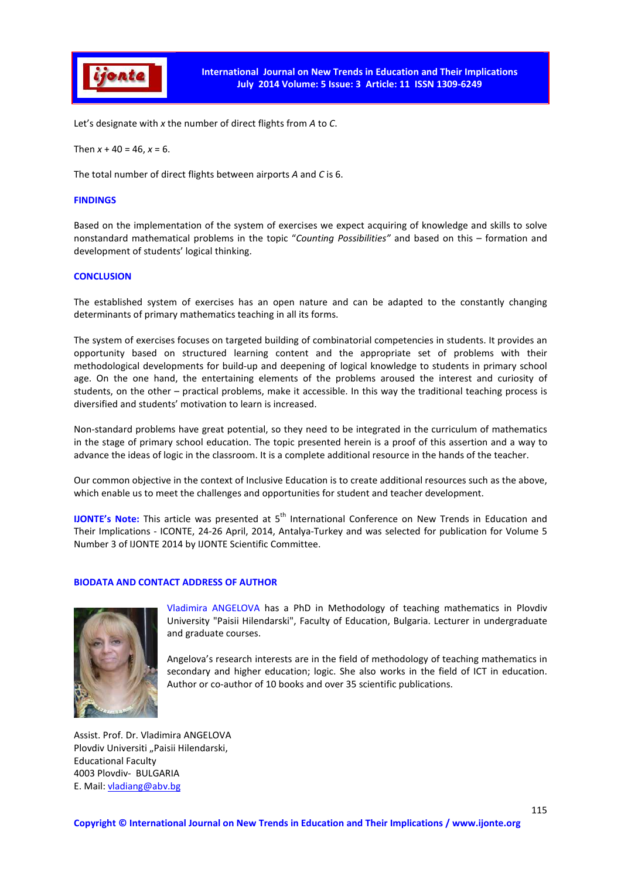

Let's designate with *x* the number of direct flights from *A* to *C*.

Then  $x + 40 = 46$ ,  $x = 6$ .

The total number of direct flights between airports *A* and *C* is 6.

#### **FINDINGS**

Based on the implementation of the system of exercises we expect acquiring of knowledge and skills to solve nonstandard mathematical problems in the topic "*Counting Possibilities"* and based on this – formation and development of students' logical thinking.

#### **CONCLUSION**

The established system of exercises has an open nature and can be adapted to the constantly changing determinants of primary mathematics teaching in all its forms.

The system of exercises focuses on targeted building of combinatorial competencies in students. It provides an opportunity based on structured learning content and the appropriate set of problems with their methodological developments for build-up and deepening of logical knowledge to students in primary school age. On the one hand, the entertaining elements of the problems aroused the interest and curiosity of students, on the other – practical problems, make it accessible. In this way the traditional teaching process is diversified and students' motivation to learn is increased.

Non-standard problems have great potential, so they need to be integrated in the curriculum of mathematics in the stage of primary school education. The topic presented herein is a proof of this assertion and a way to advance the ideas of logic in the classroom. It is a complete additional resource in the hands of the teacher.

Our common objective in the context of Inclusive Education is to create additional resources such as the above, which enable us to meet the challenges and opportunities for student and teacher development.

**IJONTE's Note:** This article was presented at 5<sup>th</sup> International Conference on New Trends in Education and Their Implications - ICONTE, 24-26 April, 2014, Antalya-Turkey and was selected for publication for Volume 5 Number 3 of IJONTE 2014 by IJONTE Scientific Committee.

### **BIODATA AND CONTACT ADDRESS OF AUTHOR**



Vladimira ANGELOVA has a PhD in Methodology of teaching mathematics in Plovdiv University "Paisii Hilendarski", Faculty of Education, Bulgaria. Lecturer in undergraduate and graduate courses.

Angelova's research interests are in the field of methodology of teaching mathematics in secondary and higher education; logic. She also works in the field of ICT in education. Author or co-author of 10 books and over 35 scientific publications.

Assist. Prof. Dr. Vladimira ANGELOVA Plovdiv Universiti "Paisii Hilendarski, Educational Faculty 4003 Plovdiv- BULGARIA E. Mail: vladiang@abv.bg